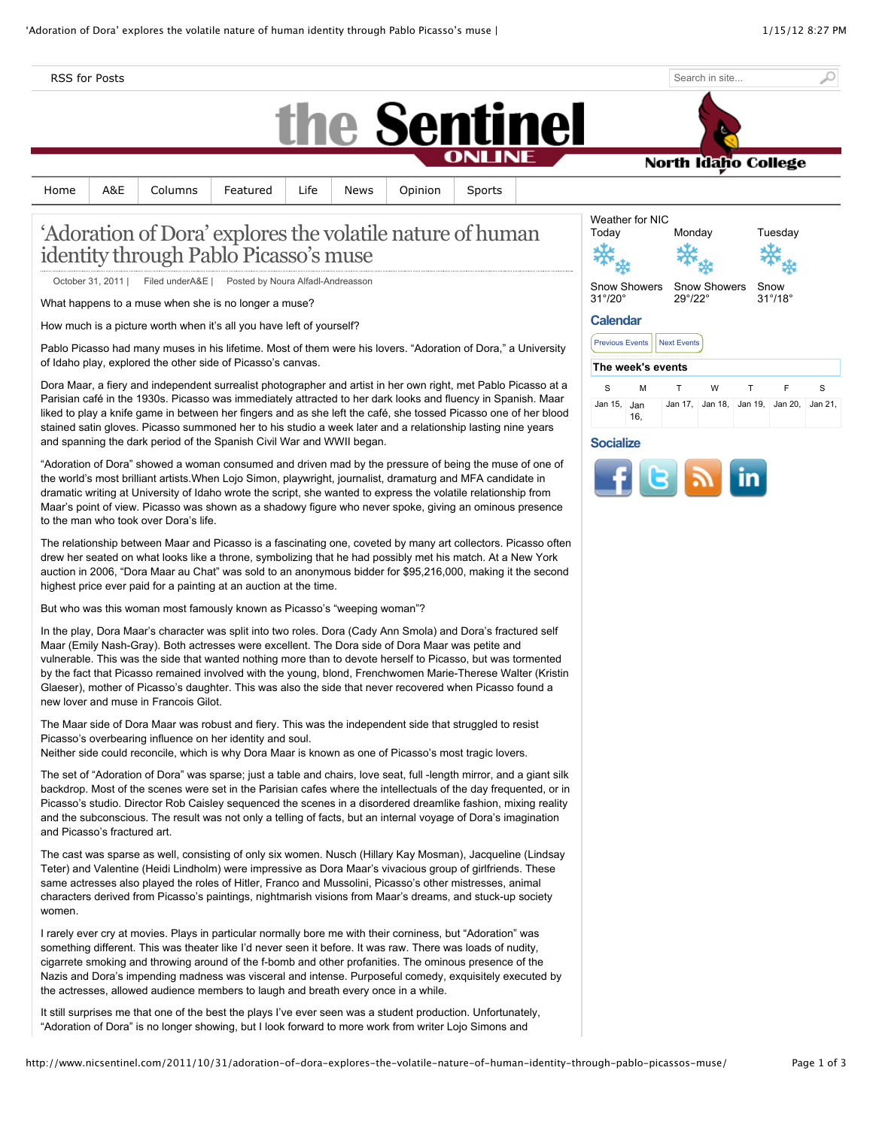RSS for Posts



|  |  |  | Home   A&E   Columns   Featured   Life   News   Opinion   Sports |  |  |  |  |
|--|--|--|------------------------------------------------------------------|--|--|--|--|
|--|--|--|------------------------------------------------------------------|--|--|--|--|

# 'Adoration of Dora' explores the volatile nature of human identity through Pablo Picasso's muse

October 31, 2011 | Filed underA&E | Posted by Noura Alfadl-Andreasson

What happens to a muse when she is no longer a muse?

How much is a picture worth when it's all you have left of yourself?

Pablo Picasso had many muses in his lifetime. Most of them were his lovers. "Adoration of Dora," a University of Idaho play, explored the other side of Picasso's canvas.

Dora Maar, a fiery and independent surrealist photographer and artist in her own right, met Pablo Picasso at a Parisian café in the 1930s. Picasso was immediately attracted to her dark looks and fluency in Spanish. Maar liked to play a knife game in between her fingers and as she left the café, she tossed Picasso one of her blood stained satin gloves. Picasso summoned her to his studio a week later and a relationship lasting nine years and spanning the dark period of the Spanish Civil War and WWII began.

"Adoration of Dora" showed a woman consumed and driven mad by the pressure of being the muse of one of the world's most brilliant artists.When Lojo Simon, playwright, journalist, dramaturg and MFA candidate in dramatic writing at University of Idaho wrote the script, she wanted to express the volatile relationship from Maar's point of view. Picasso was shown as a shadowy figure who never spoke, giving an ominous presence to the man who took over Dora's life.

The relationship between Maar and Picasso is a fascinating one, coveted by many art collectors. Picasso often drew her seated on what looks like a throne, symbolizing that he had possibly met his match. At a New York auction in 2006, "Dora Maar au Chat" was sold to an anonymous bidder for \$95,216,000, making it the second highest price ever paid for a painting at an auction at the time.

But who was this woman most famously known as Picasso's "weeping woman"?

In the play, Dora Maar's character was split into two roles. Dora (Cady Ann Smola) and Dora's fractured self Maar (Emily Nash-Gray). Both actresses were excellent. The Dora side of Dora Maar was petite and vulnerable. This was the side that wanted nothing more than to devote herself to Picasso, but was tormented by the fact that Picasso remained involved with the young, blond, Frenchwomen Marie-Therese Walter (Kristin Glaeser), mother of Picasso's daughter. This was also the side that never recovered when Picasso found a new lover and muse in Francois Gilot.

The Maar side of Dora Maar was robust and fiery. This was the independent side that struggled to resist Picasso's overbearing influence on her identity and soul.

Neither side could reconcile, which is why Dora Maar is known as one of Picasso's most tragic lovers.

The set of "Adoration of Dora" was sparse; just a table and chairs, love seat, full -length mirror, and a giant silk backdrop. Most of the scenes were set in the Parisian cafes where the intellectuals of the day frequented, or in Picasso's studio. Director Rob Caisley sequenced the scenes in a disordered dreamlike fashion, mixing reality and the subconscious. The result was not only a telling of facts, but an internal voyage of Dora's imagination and Picasso's fractured art.

The cast was sparse as well, consisting of only six women. Nusch (Hillary Kay Mosman), Jacqueline (Lindsay Teter) and Valentine (Heidi Lindholm) were impressive as Dora Maar's vivacious group of girlfriends. These same actresses also played the roles of Hitler, Franco and Mussolini, Picasso's other mistresses, animal characters derived from Picasso's paintings, nightmarish visions from Maar's dreams, and stuck-up society women.

I rarely ever cry at movies. Plays in particular normally bore me with their corniness, but "Adoration" was something different. This was theater like I'd never seen it before. It was raw. There was loads of nudity, cigarrete smoking and throwing around of the f-bomb and other profanities. The ominous presence of the Nazis and Dora's impending madness was visceral and intense. Purposeful comedy, exquisitely executed by the actresses, allowed audience members to laugh and breath every once in a while.

It still surprises me that one of the best the plays I've ever seen was a student production. Unfortunately, "Adoration of Dora" is no longer showing, but I look forward to more work from writer Lojo Simons and

| Weather for NIC                     |            |                         |              |   |                                 |         |
|-------------------------------------|------------|-------------------------|--------------|---|---------------------------------|---------|
| Today                               |            | Monday                  |              |   | Tuesday                         |         |
|                                     |            |                         |              |   |                                 |         |
| Snow Showers<br>$31^\circ/20^\circ$ |            | $29^{\circ}/22^{\circ}$ | Snow Showers |   | Snow<br>$31^\circ/18^\circ$     |         |
| <b>Calendar</b>                     |            |                         |              |   |                                 |         |
| <b>Previous Events</b>              |            | <b>Next Events</b>      |              |   |                                 |         |
| The week's events                   |            |                         |              |   |                                 |         |
| S                                   | M          | т                       | W            | т | F                               | S       |
| Jan 15.                             | Jan<br>16, |                         |              |   | Jan 17, Jan 18, Jan 19, Jan 20, | Jan 21. |

Search in site...

North Idaho College

#### **Socialize**

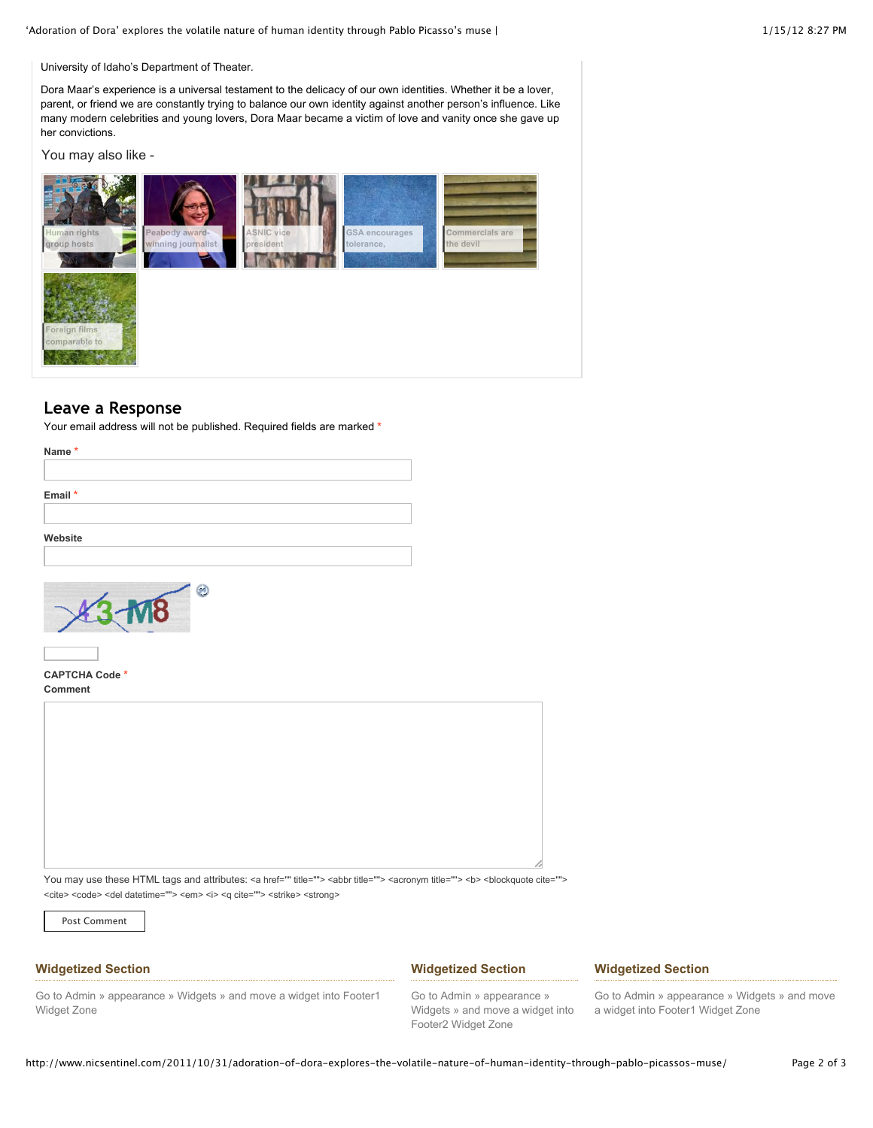'Adoration of Dora' explores the volatile nature of human identity through Pablo Picasso's muse | 1/15/12 8:27 PM

University of Idaho's Department of Theater.

Dora Maar's experience is a universal testament to the delicacy of our own identities. Whether it be a lover, parent, or friend we are constantly trying to balance our own identity against another person's influence. Like many modern celebrities and young lovers, Dora Maar became a victim of love and vanity once she gave up her convictions.

You may also like -



# **Leave a Response**

Your email address will not be published. Required fields are marked **\***





**CAPTCHA Code \* Comment**

| U |  |  |
|---|--|--|
|   |  |  |
|   |  |  |
|   |  |  |
|   |  |  |
|   |  |  |
|   |  |  |
|   |  |  |
|   |  |  |
|   |  |  |
|   |  |  |
|   |  |  |
|   |  |  |
|   |  |  |

You may use these HTML tags and attributes: <a href="" title=""> <abbr title=""> <acronym title=""> <b> <blockquote cite=""> <cite> <code> <del datetime=""> <em> <i> <q cite=""> <strike> <strong>

Post Comment

## **Widgetized Section**

#### **Widgetized Section**

#### **Widgetized Section**

Go to Admin » appearance » Widgets » and move a widget into Footer1 Widget Zone

Go to Admin » appearance » Widgets » and move a widget into Footer2 Widget Zone

Go to Admin » appearance » Widgets » and move a widget into Footer1 Widget Zone